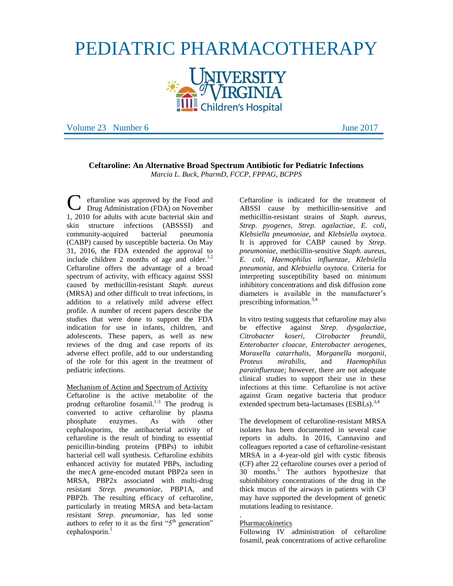# PEDIATRIC PHARMACOTHERAPY



Volume 23 Number 6 June 2017

# **Ceftaroline: An Alternative Broad Spectrum Antibiotic for Pediatric Infections** *Marcia L. Buck, PharmD, FCCP, FPPAG, BCPPS*

eftaroline was approved by the Food and Drug Administration (FDA) on November 1, 2010 for adults with acute bacterial skin and skin structure infections (ABSSSI) and community-acquired bacterial pneumonia (CABP) caused by susceptible bacteria. On May 31, 2016, the FDA extended the approval to include children 2 months of age and older. $1,2$ Ceftaroline offers the advantage of a broad spectrum of activity, with efficacy against SSSI caused by methicillin-resistant *Staph. aureus* (MRSA) and other difficult to treat infections, in addition to a relatively mild adverse effect profile. A number of recent papers describe the studies that were done to support the FDA indication for use in infants, children, and adolescents. These papers, as well as new reviews of the drug and case reports of its adverse effect profile, add to our understanding of the role for this agent in the treatment of pediatric infections. C

Mechanism of Action and Spectrum of Activity

Ceftaroline is the active metabolite of the prodrug ceftaroline fosamil. 1-3 The prodrug is converted to active ceftaroline by plasma phosphate enzymes. As with other cephalosporins, the antibacterial activity of ceftaroline is the result of binding to essential penicillin-binding proteins (PBPs) to inhibit bacterial cell wall synthesis. Ceftaroline exhibits enhanced activity for mutated PBPs, including the mecA gene-encoded mutant PBP2a seen in MRSA, PBP2x associated with multi-drug resistant *Strep. pneumoniae*, PBP1A, and PBP2b. The resulting efficacy of ceftaroline, particularly in treating MRSA and beta-lactam resistant *Strep. pneumoniae*, has led some authors to refer to it as the first " $5<sup>th</sup>$  generation"  $c$ ephalosporin.<sup>1</sup>

Ceftaroline is indicated for the treatment of ABSSI cause by methicillin-sensitive and methicillin-resistant strains of *Staph. aureus*, *Strep. pyogenes*, *Strep. agalactiae*, *E. coli*, *Klebsiella pneumoniae*, and *Klebsiella oxytoca*. It is approved for CABP caused by *Strep. pneumoniae*, methicillin-sensitive *Staph. aureus*, *E. coli*, *Haemophilus influenzae*, *Klebsiella pneumonia*, and *Klebsiella oxytoca*. Criteria for interpreting susceptibility based on minimum inhibitory concentrations and disk diffusion zone diameters is available in the manufacturer's prescribing information. $3,4$ 

In vitro testing suggests that ceftaroline may also be effective against *Strep. dysgalactiae*, *Citrobacter koseri, Citrobacter freundii, Enterobacter cloacae, Enterobacter aerogenes, Moraxella catarrhalis, Morganella morganii, Proteus mirabilis*, and *Haemophilus parainfluenzae;* however, there are not adequate clinical studies to support their use in these infections at this time. Ceftaroline is not active against Gram negative bacteria that produce extended spectrum beta-lactamases  $(ESBLs).$ <sup>3,4</sup>

The development of ceftaroline-resistant MRSA isolates has been documented in several case reports in adults. In 2016, Cannavino and colleagues reported a case of ceftaroline-resistant MRSA in a 4-year-old girl with cystic fibrosis (CF) after 22 ceftaroline courses over a period of 30 months. <sup>5</sup> The authors hypothesize that subinhibitory concentrations of the drug in the thick mucus of the airways in patients with CF may have supported the development of genetic mutations leading to resistance.

#### . Pharmacokinetics

Following IV administration of ceftaroline fosamil, peak concentrations of active ceftaroline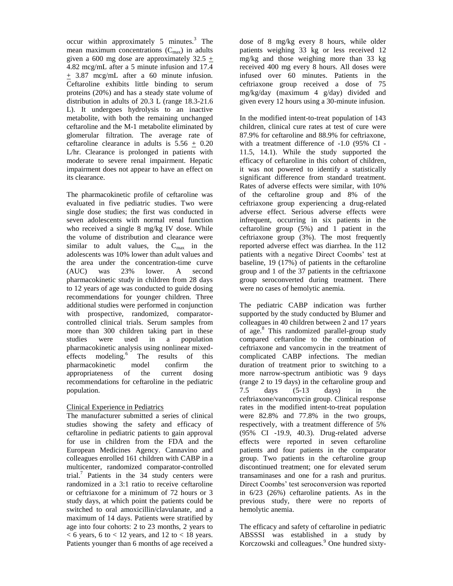occur within approximately 5 minutes.<sup>3</sup> The mean maximum concentrations  $(C_{\text{max}})$  in adults given a 600 mg dose are approximately  $32.5 +$ 4.82 mcg/mL after a 5 minute infusion and 17.4 + 3.87 mcg/mL after a 60 minute infusion. Ceftaroline exhibits little binding to serum proteins (20%) and has a steady state volume of distribution in adults of 20.3 L (range 18.3-21.6 L). It undergoes hydrolysis to an inactive metabolite, with both the remaining unchanged ceftaroline and the M-1 metabolite eliminated by glomerular filtration. The average rate of ceftaroline clearance in adults is  $5.56 + 0.20$ L/hr. Clearance is prolonged in patients with moderate to severe renal impairment. Hepatic impairment does not appear to have an effect on its clearance.

The pharmacokinetic profile of ceftaroline was evaluated in five pediatric studies. Two were single dose studies; the first was conducted in seven adolescents with normal renal function who received a single 8 mg/kg IV dose. While the volume of distribution and clearance were similar to adult values, the  $C_{\text{max}}$  in the adolescents was 10% lower than adult values and the area under the concentration-time curve (AUC) was 23% lower. A second pharmacokinetic study in children from 28 days to 12 years of age was conducted to guide dosing recommendations for younger children. Three additional studies were performed in conjunction with prospective, randomized, comparatorcontrolled clinical trials. Serum samples from more than 300 children taking part in these studies were used in a population pharmacokinetic analysis using nonlinear mixedeffects modeling.<sup>6</sup> The results of this pharmacokinetic model confirm the appropriateness of the current dosing recommendations for ceftaroline in the pediatric population.

# Clinical Experience in Pediatrics

The manufacturer submitted a series of clinical studies showing the safety and efficacy of ceftaroline in pediatric patients to gain approval for use in children from the FDA and the European Medicines Agency. Cannavino and colleagues enrolled 161 children with CABP in a multicenter, randomized comparator-controlled trial. 7 Patients in the 34 study centers were randomized in a 3:1 ratio to receive ceftaroline or ceftriaxone for a minimum of 72 hours or 3 study days, at which point the patients could be switched to oral amoxicillin/clavulanate, and a maximum of 14 days. Patients were stratified by age into four cohorts: 2 to 23 months, 2 years to  $<$  6 years, 6 to  $<$  12 years, and 12 to  $<$  18 years. Patients younger than 6 months of age received a

dose of 8 mg/kg every 8 hours, while older patients weighing 33 kg or less received 12 mg/kg and those weighing more than 33 kg received 400 mg every 8 hours. All doses were infused over 60 minutes. Patients in the ceftriaxone group received a dose of 75 mg/kg/day (maximum 4 g/day) divided and given every 12 hours using a 30-minute infusion.

In the modified intent-to-treat population of 143 children, clinical cure rates at test of cure were 87.9% for ceftaroline and 88.9% for ceftriaxone, with a treatment difference of -1.0 (95% CI - 11.5, 14.1). While the study supported the efficacy of ceftaroline in this cohort of children, it was not powered to identify a statistically significant difference from standard treatment. Rates of adverse effects were similar, with 10% of the ceftaroline group and 8% of the ceftriaxone group experiencing a drug-related adverse effect. Serious adverse effects were infrequent, occurring in six patients in the ceftaroline group (5%) and 1 patient in the ceftriaxone group (3%). The most frequently reported adverse effect was diarrhea. In the 112 patients with a negative Direct Coombs' test at baseline, 19 (17%) of patients in the ceftaroline group and 1 of the 37 patients in the ceftriaxone group seroconverted during treatment. There were no cases of hemolytic anemia.

The pediatric CABP indication was further supported by the study conducted by Blumer and colleagues in 40 children between 2 and 17 years of age.<sup>8</sup> This randomized parallel-group study compared ceftaroline to the combination of ceftriaxone and vancomycin in the treatment of complicated CABP infections. The median duration of treatment prior to switching to a more narrow-spectrum antibiotic was 9 days (range 2 to 19 days) in the ceftaroline group and 7.5 days (5-13 days) in the ceftriaxone/vancomycin group. Clinical response rates in the modified intent-to-treat population were 82.8% and 77.8% in the two groups, respectively, with a treatment difference of 5% (95% CI -19.9, 40.3). Drug-related adverse effects were reported in seven ceftaroline patients and four patients in the comparator group. Two patients in the ceftaroline group discontinued treatment; one for elevated serum transaminases and one for a rash and pruritus. Direct Coombs' test seroconversion was reported in 6/23 (26%) ceftaroline patients. As in the previous study, there were no reports of hemolytic anemia.

The efficacy and safety of ceftaroline in pediatric ABSSSI was established in a study by Korczowski and colleagues.<sup>9</sup> One hundred sixty-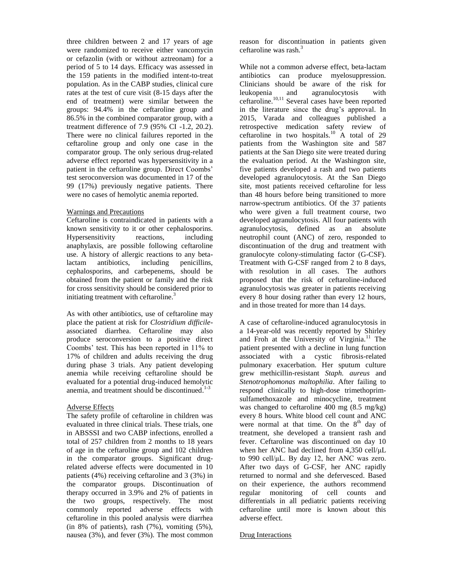three children between 2 and 17 years of age were randomized to receive either vancomycin or cefazolin (with or without aztreonam) for a period of 5 to 14 days. Efficacy was assessed in the 159 patients in the modified intent-to-treat population. As in the CABP studies, clinical cure rates at the test of cure visit (8-15 days after the end of treatment) were similar between the groups: 94.4% in the ceftaroline group and 86.5% in the combined comparator group, with a treatment difference of 7.9 (95% CI -1.2, 20.2). There were no clinical failures reported in the ceftaroline group and only one case in the comparator group. The only serious drug-related adverse effect reported was hypersensitivity in a patient in the ceftaroline group. Direct Coombs' test seroconversion was documented in 17 of the 99 (17%) previously negative patients. There were no cases of hemolytic anemia reported.

## Warnings and Precautions

Ceftaroline is contraindicated in patients with a known sensitivity to it or other cephalosporins. Hypersensitivity reactions, including anaphylaxis, are possible following ceftaroline use. A history of allergic reactions to any betalactam antibiotics, including penicillins, cephalosporins, and carbepenems, should be obtained from the patient or family and the risk for cross sensitivity should be considered prior to initiating treatment with ceftaroline. $3$ 

As with other antibiotics, use of ceftaroline may place the patient at risk for *Clostridium difficile*associated diarrhea. Ceftaroline may also produce seroconversion to a positive direct Coombs' test. This has been reported in 11% to 17% of children and adults receiving the drug during phase 3 trials. Any patient developing anemia while receiving ceftaroline should be evaluated for a potential drug-induced hemolytic anemia, and treatment should be discontinued. 1-3

#### Adverse Effects

The safety profile of ceftaroline in children was evaluated in three clinical trials. These trials, one in ABSSSI and two CABP infections, enrolled a total of 257 children from 2 months to 18 years of age in the ceftaroline group and 102 children in the comparator groups. Significant drugrelated adverse effects were documented in 10 patients (4%) receiving ceftaroline and 3 (3%) in the comparator groups. Discontinuation of therapy occurred in 3.9% and 2% of patients in the two groups, respectively. The most commonly reported adverse effects with ceftaroline in this pooled analysis were diarrhea (in 8% of patients), rash  $(7\%)$ , vomiting  $(5\%)$ , nausea (3%), and fever (3%). The most common

reason for discontinuation in patients given ceftaroline was rash.<sup>3</sup>

While not a common adverse effect, beta-lactam antibiotics can produce myelosuppression. Clinicians should be aware of the risk for leukopenia and agranulocytosis with ceftaroline.<sup>10,11</sup> Several cases have been reported in the literature since the drug's approval. In 2015, Varada and colleagues published a retrospective medication safety review of ceftaroline in two hospitals.<sup>10</sup> A total of 29 patients from the Washington site and 587 patients at the San Diego site were treated during the evaluation period. At the Washington site, five patients developed a rash and two patients developed agranulocytosis. At the San Diego site, most patients received ceftaroline for less than 48 hours before being transitioned to more narrow-spectrum antibiotics. Of the 37 patients who were given a full treatment course, two developed agranulocytosis. All four patients with agranulocytosis, defined as an absolute neutrophil count (ANC) of zero, responded to discontinuation of the drug and treatment with granulocyte colony-stimulating factor (G-CSF). Treatment with G-CSF ranged from 2 to 8 days, with resolution in all cases. The authors proposed that the risk of ceftaroline-induced agranulocytosis was greater in patients receiving every 8 hour dosing rather than every 12 hours, and in those treated for more than 14 days.

A case of ceftaroline-induced agranulocytosis in a 14-year-old was recently reported by Shirley and Froh at the University of Virginia.<sup>11</sup> The patient presented with a decline in lung function associated with a cystic fibrosis-related pulmonary exacerbation. Her sputum culture grew methicillin-resistant *Staph. aureus* and *Stenotrophomonas maltophilia*. After failing to respond clinically to high-dose trimethoprimsulfamethoxazole and minocycline, treatment was changed to ceftaroline 400 mg (8.5 mg/kg) every 8 hours. White blood cell count and ANC were normal at that time. On the  $8<sup>th</sup>$  day of treatment, she developed a transient rash and fever. Ceftaroline was discontinued on day 10 when her ANC had declined from 4,350 cell/μL to 990 cell/μL. By day 12, her ANC was zero. After two days of G-CSF, her ANC rapidly returned to normal and she defervesced. Based on their experience, the authors recommend regular monitoring of cell counts and differentials in all pediatric patients receiving ceftaroline until more is known about this adverse effect.

#### Drug Interactions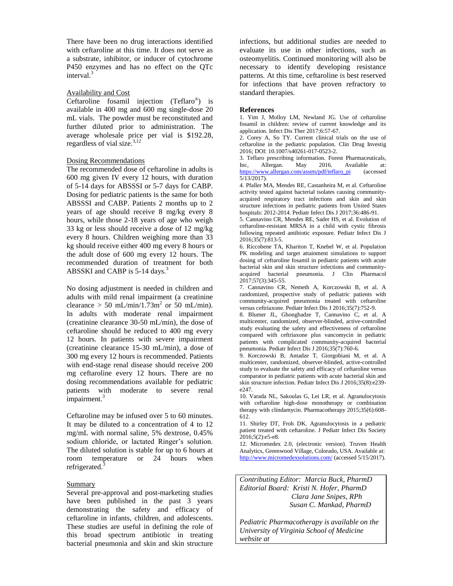There have been no drug interactions identified with ceftaroline at this time. It does not serve as a substrate, inhibitor, or inducer of cytochrome P450 enzymes and has no effect on the QTc interval.<sup>3</sup>

## Availability and Cost

Ceftaroline fosamil injection (Teflaro® ) is available in 400 mg and 600 mg single-dose 20 mL vials. The powder must be reconstituted and further diluted prior to administration. The average wholesale price per vial is \$192.28, regardless of vial size.<sup>3,12</sup>

## Dosing Recommendations

The recommended dose of ceftaroline in adults is 600 mg given IV every 12 hours, with duration of 5-14 days for ABSSSI or 5-7 days for CABP. Dosing for pediatric patients is the same for both ABSSSI and CABP. Patients 2 months up to 2 years of age should receive 8 mg/kg every 8 hours, while those 2-18 years of age who weigh 33 kg or less should receive a dose of 12 mg/kg every 8 hours. Children weighing more than 33 kg should receive either 400 mg every 8 hours or the adult dose of 600 mg every 12 hours. The recommended duration of treatment for both ABSSKI and CABP is  $5-14$  days.<sup>3</sup>

No dosing adjustment is needed in children and adults with mild renal impairment (a creatinine clearance > 50 mL/min/1.73m<sup>2</sup> or 50 mL/min). In adults with moderate renal impairment (creatinine clearance 30-50 mL/min), the dose of ceftaroline should be reduced to 400 mg every 12 hours. In patients with severe impairment (creatinine clearance 15-30 mL/min), a dose of 300 mg every 12 hours is recommended. Patients with end-stage renal disease should receive 200 mg ceftaroline every 12 hours. There are no dosing recommendations available for pediatric patients with moderate to severe renal impairment.<sup>3</sup>

Ceftaroline may be infused over 5 to 60 minutes. It may be diluted to a concentration of 4 to 12 mg/mL with normal saline, 5% dextrose, 0.45% sodium chloride, or lactated Ringer's solution. The diluted solution is stable for up to 6 hours at room temperature or 24 hours when refrigerated.<sup>3</sup>

#### **Summary**

Several pre-approval and post-marketing studies have been published in the past 3 years demonstrating the safety and efficacy of ceftaroline in infants, children, and adolescents. These studies are useful in defining the role of this broad spectrum antibiotic in treating bacterial pneumonia and skin and skin structure

infections, but additional studies are needed to evaluate its use in other infections, such as osteomyelitis. Continued monitoring will also be necessary to identify developing resistance patterns. At this time, ceftaroline is best reserved for infections that have proven refractory to standard therapies.

#### **References**

1. Yim J, Molloy LM, Newland JG. Use of ceftaroline fosamil in children: review of current knowledge and its application. Infect Dis Ther 2017;6:57-67.

2. Corey A, So TY. Current clinical trials on the use of ceftaroline in the pediatric population. Clin Drug Investig 2016; DOI: 10.1007/s40261-017-0523-2.

3. Teflaro prescribing information. Forest Pharmaceuticals, Inc, Allergan. May 2016. Available at: [https://www.allergan.com/assets/pdf/teflaro\\_pi](https://www.allergan.com/assets/pdf/teflaro_pi) (accessed  $\overline{5/13/2017}$ .

4. Pfaller MA, Mendes RE, Castanheira M, et al. Ceftaroline activity tested against bacterial isolates causing communityacquired respiratory tract infections and skin and skin structure infections in pediatric patients from United States hospitals: 2012-2014. Pediatr Infect Dis J 2017;36:486-91.

5. Cannavino CR, Mendes RE, Sader HS, et al. Evolution of ceftaroline-resistant MRSA in a child with cystic fibrosis following repeated antibiotic exposure. Pediatr Infect Dis J 2016;35(7):813-5.

6. Riccobene TA, Khariton T, Knebel W, et al. Population PK modeling and target attainment simulations to support dosing of ceftaroline fosamil in pediatric patients with acute bacterial skin and skin structure infections and communityacquired bacterial pneumonia. J Clin Pharmacol 2017;57(3):345-55.

7. Cannavino CR, Nemeth A, Korczowski B, et al. A randomized, prospective study of pediatric patients with community-acquired pneumonia treated with ceftaroline versus ceftriaxone. Pediatr Infect Dis J 2016;35(7):752-9.

8. Blumer JL, Ghonghadze T, Cannavino C, et al. A multicenter, randomized, observer-blinded, active-controlled study evaluating the safety and effectiveness of ceftaroline compared with ceftriaxone plus vancomycin in pediatric patients with complicated community-acquired bacterial pneumonia. Pediatr Infect Dis J 2016;35(7):760-6.

9. Korczowski B, Antadze T, Giorgobiani M, et al. A multicenter, randomized, observer-blinded, active-controlled study to evaluate the safety and efficacy of ceftaroline versus comparator in pediatric patients with acute bacterial skin and skin structure infection. Pediatr Infect Dis J 2016;35(8):e239 e247.

10. Varada NL, Sakoulas G, Lei LR, et al. Agranulocytosis with ceftaroline high-dose monotherapy or combination therapy with clindamycin. Pharmacotherapy 2015;35(6):608- 612.

11. Shirley DT, Froh DK. Agranulocytosis in a pediatric patient treated with ceftaroline. J Pediatr Infect Dis Society 2016;5(2):e5-e8.

12. Micromedex 2.0, (electronic version). Truven Health Analytics, Greenwood Village, Colorado, USA. Available at: <http://www.micromedexsolutions.com/> (accessed 5/15/2017).

*Contributing Editor: Marcia Buck, PharmD Editorial Board: Kristi N. Hofer, PharmD Clara Jane Snipes, RPh Susan C. Mankad, PharmD*

*Pediatric Pharmacotherapy is available on the University of Virginia School of Medicine website at*